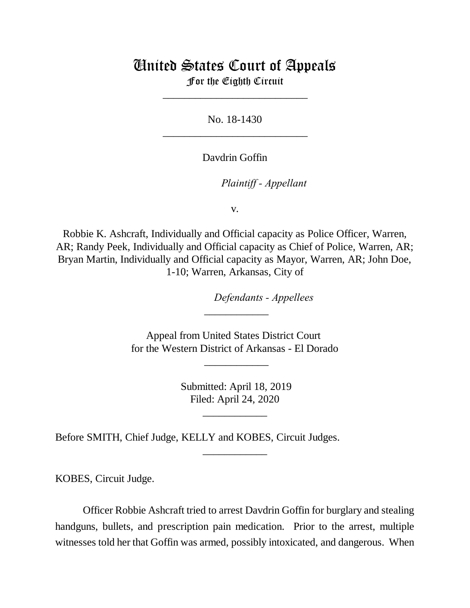## United States Court of Appeals

For the Eighth Circuit \_\_\_\_\_\_\_\_\_\_\_\_\_\_\_\_\_\_\_\_\_\_\_\_\_\_\_

No. 18-1430 \_\_\_\_\_\_\_\_\_\_\_\_\_\_\_\_\_\_\_\_\_\_\_\_\_\_\_

Davdrin Goffin

*Plaintiff - Appellant* 

v.

Robbie K. Ashcraft, Individually and Official capacity as Police Officer, Warren, AR; Randy Peek, Individually and Official capacity as Chief of Police, Warren, AR; Bryan Martin, Individually and Official capacity as Mayor, Warren, AR; John Doe, 1-10; Warren, Arkansas, City of

lllllllllllllllllllll*Defendants - Appellees*

Appeal from United States District Court for the Western District of Arkansas - El Dorado

\_\_\_\_\_\_\_\_\_\_\_\_

\_\_\_\_\_\_\_\_\_\_\_\_

 Submitted: April 18, 2019 Filed: April 24, 2020

\_\_\_\_\_\_\_\_\_\_\_\_

\_\_\_\_\_\_\_\_\_\_\_\_

Before SMITH, Chief Judge, KELLY and KOBES, Circuit Judges.

KOBES, Circuit Judge.

Officer Robbie Ashcraft tried to arrest Davdrin Goffin for burglary and stealing handguns, bullets, and prescription pain medication. Prior to the arrest, multiple witnesses told her that Goffin was armed, possibly intoxicated, and dangerous. When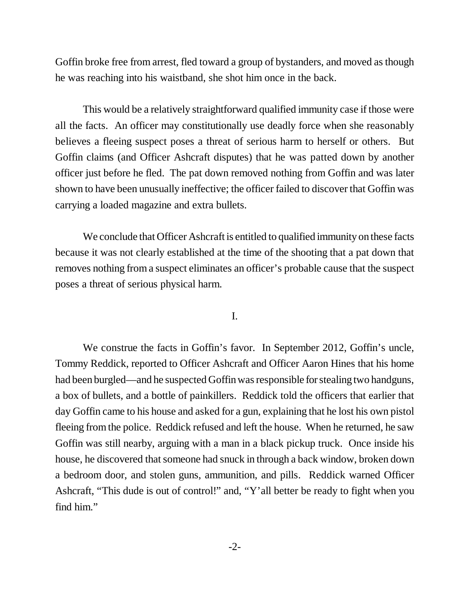Goffin broke free from arrest, fled toward a group of bystanders, and moved as though he was reaching into his waistband, she shot him once in the back.

This would be a relatively straightforward qualified immunity case if those were all the facts. An officer may constitutionally use deadly force when she reasonably believes a fleeing suspect poses a threat of serious harm to herself or others. But Goffin claims (and Officer Ashcraft disputes) that he was patted down by another officer just before he fled. The pat down removed nothing from Goffin and was later shown to have been unusually ineffective; the officer failed to discover that Goffin was carrying a loaded magazine and extra bullets.

We conclude that Officer Ashcraft is entitled to qualified immunity on these facts because it was not clearly established at the time of the shooting that a pat down that removes nothing from a suspect eliminates an officer's probable cause that the suspect poses a threat of serious physical harm.

## I.

We construe the facts in Goffin's favor. In September 2012, Goffin's uncle, Tommy Reddick, reported to Officer Ashcraft and Officer Aaron Hines that his home had been burgled—and he suspected Goffin was responsible for stealing two handguns, a box of bullets, and a bottle of painkillers. Reddick told the officers that earlier that day Goffin came to his house and asked for a gun, explaining that he lost his own pistol fleeing from the police. Reddick refused and left the house. When he returned, he saw Goffin was still nearby, arguing with a man in a black pickup truck. Once inside his house, he discovered that someone had snuck in through a back window, broken down a bedroom door, and stolen guns, ammunition, and pills. Reddick warned Officer Ashcraft, "This dude is out of control!" and, "Y'all better be ready to fight when you find him."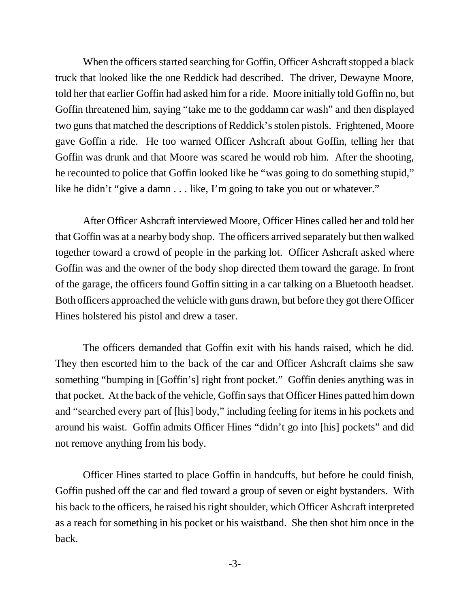When the officers started searching for Goffin, Officer Ashcraft stopped a black truck that looked like the one Reddick had described. The driver, Dewayne Moore, told her that earlier Goffin had asked him for a ride. Moore initially told Goffin no, but Goffin threatened him, saying "take me to the goddamn car wash" and then displayed two guns that matched the descriptions of Reddick's stolen pistols. Frightened, Moore gave Goffin a ride. He too warned Officer Ashcraft about Goffin, telling her that Goffin was drunk and that Moore was scared he would rob him. After the shooting, he recounted to police that Goffin looked like he "was going to do something stupid," like he didn't "give a damn . . . like, I'm going to take you out or whatever."

After Officer Ashcraft interviewed Moore, Officer Hines called her and told her that Goffin was at a nearby body shop. The officers arrived separately but then walked together toward a crowd of people in the parking lot. Officer Ashcraft asked where Goffin was and the owner of the body shop directed them toward the garage. In front of the garage, the officers found Goffin sitting in a car talking on a Bluetooth headset. Both officers approached the vehicle with guns drawn, but before they got there Officer Hines holstered his pistol and drew a taser.

The officers demanded that Goffin exit with his hands raised, which he did. They then escorted him to the back of the car and Officer Ashcraft claims she saw something "bumping in [Goffin's] right front pocket." Goffin denies anything was in that pocket. At the back of the vehicle, Goffin says that Officer Hines patted him down and "searched every part of [his] body," including feeling for items in his pockets and around his waist. Goffin admits Officer Hines "didn't go into [his] pockets" and did not remove anything from his body.

Officer Hines started to place Goffin in handcuffs, but before he could finish, Goffin pushed off the car and fled toward a group of seven or eight bystanders. With his back to the officers, he raised his right shoulder, which Officer Ashcraft interpreted as a reach for something in his pocket or his waistband. She then shot him once in the back.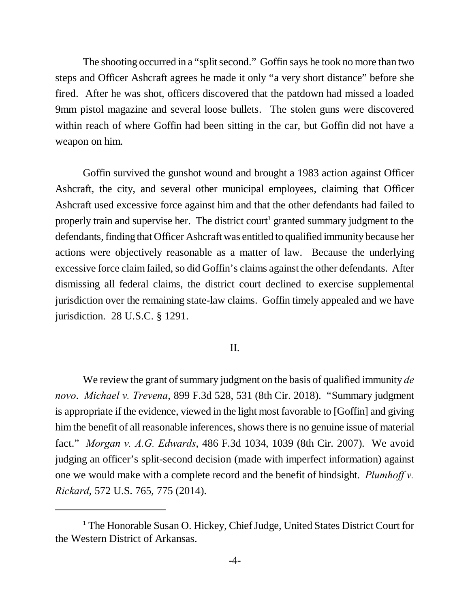The shooting occurred in a "split second." Goffin says he took no more than two steps and Officer Ashcraft agrees he made it only "a very short distance" before she fired. After he was shot, officers discovered that the patdown had missed a loaded 9mm pistol magazine and several loose bullets. The stolen guns were discovered within reach of where Goffin had been sitting in the car, but Goffin did not have a weapon on him.

Goffin survived the gunshot wound and brought a 1983 action against Officer Ashcraft, the city, and several other municipal employees, claiming that Officer Ashcraft used excessive force against him and that the other defendants had failed to properly train and supervise her. The district court<sup>1</sup> granted summary judgment to the defendants, finding that Officer Ashcraft was entitled to qualified immunity because her actions were objectively reasonable as a matter of law. Because the underlying excessive force claim failed, so did Goffin's claims against the other defendants. After dismissing all federal claims, the district court declined to exercise supplemental jurisdiction over the remaining state-law claims. Goffin timely appealed and we have jurisdiction. 28 U.S.C. § 1291.

## II.

We review the grant of summary judgment on the basis of qualified immunity *de novo*. *Michael v. Trevena*, 899 F.3d 528, 531 (8th Cir. 2018). "Summary judgment is appropriate if the evidence, viewed in the light most favorable to [Goffin] and giving him the benefit of all reasonable inferences, shows there is no genuine issue of material fact." *Morgan v. A.G. Edwards*, 486 F.3d 1034, 1039 (8th Cir. 2007). We avoid judging an officer's split-second decision (made with imperfect information) against one we would make with a complete record and the benefit of hindsight. *Plumhoff v. Rickard*, 572 U.S. 765, 775 (2014).

<sup>&</sup>lt;sup>1</sup> The Honorable Susan O. Hickey, Chief Judge, United States District Court for the Western District of Arkansas.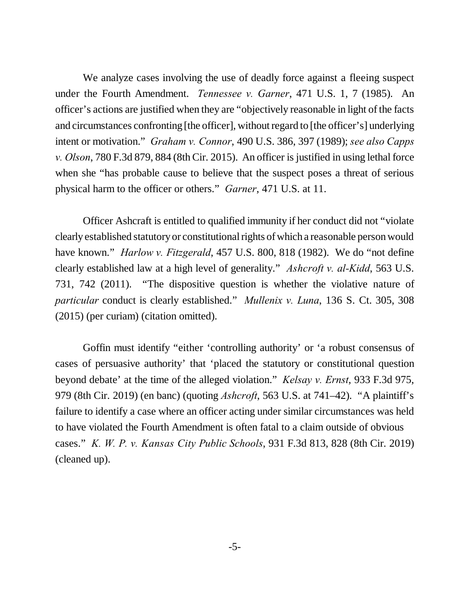We analyze cases involving the use of deadly force against a fleeing suspect under the Fourth Amendment. *Tennessee v. Garner*, 471 U.S. 1, 7 (1985). An officer's actions are justified when they are "objectively reasonable in light of the facts and circumstances confronting [the officer], without regard to [the officer's] underlying intent or motivation." *Graham v. Connor*, 490 U.S. 386, 397 (1989); *see also Capps v. Olson*, 780 F.3d 879, 884 (8th Cir. 2015). An officer is justified in using lethal force when she "has probable cause to believe that the suspect poses a threat of serious physical harm to the officer or others." *Garner*, 471 U.S. at 11.

Officer Ashcraft is entitled to qualified immunity if her conduct did not "violate clearly established statutory or constitutional rights of which a reasonable person would have known." *Harlow v. Fitzgerald*, 457 U.S. 800, 818 (1982). We do "not define clearly established law at a high level of generality." *Ashcroft v. al-Kidd*, 563 U.S. 731, 742 (2011). "The dispositive question is whether the violative nature of *particular* conduct is clearly established." *Mullenix v. Luna*, 136 S. Ct. 305, 308 (2015) (per curiam) (citation omitted).

Goffin must identify "either 'controlling authority' or 'a robust consensus of cases of persuasive authority' that 'placed the statutory or constitutional question beyond debate' at the time of the alleged violation." *Kelsay v. Ernst*, 933 F.3d 975, 979 (8th Cir. 2019) (en banc) (quoting *Ashcroft*, 563 U.S. at 741–42). "A plaintiff's failure to identify a case where an officer acting under similar circumstances was held to have violated the Fourth Amendment is often fatal to a claim outside of obvious cases." *K. W. P. v. Kansas City Public Schools*, 931 F.3d 813, 828 (8th Cir. 2019) (cleaned up).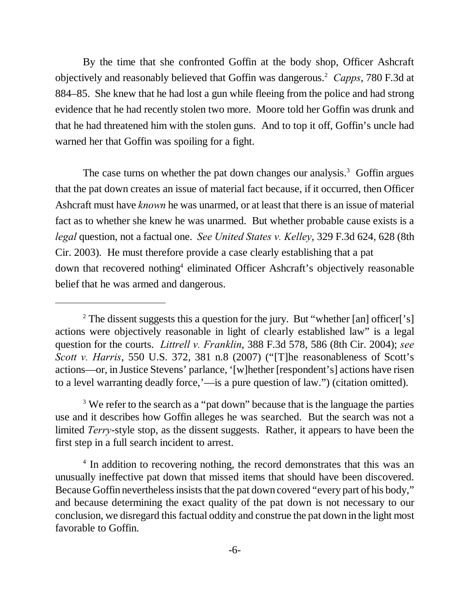By the time that she confronted Goffin at the body shop, Officer Ashcraft objectively and reasonably believed that Goffin was dangerous.<sup>2</sup> *Capps*, 780 F.3d at 884–85. She knew that he had lost a gun while fleeing from the police and had strong evidence that he had recently stolen two more. Moore told her Goffin was drunk and that he had threatened him with the stolen guns. And to top it off, Goffin's uncle had warned her that Goffin was spoiling for a fight.

The case turns on whether the pat down changes our analysis.<sup>3</sup> Goffin argues that the pat down creates an issue of material fact because, if it occurred, then Officer Ashcraft must have *known* he was unarmed, or at least that there is an issue of material fact as to whether she knew he was unarmed. But whether probable cause exists is a *legal* question, not a factual one. *See United States v. Kelley*, 329 F.3d 624, 628 (8th Cir. 2003). He must therefore provide a case clearly establishing that a pat down that recovered nothing<sup>4</sup> eliminated Officer Ashcraft's objectively reasonable belief that he was armed and dangerous.

<sup>&</sup>lt;sup>2</sup> The dissent suggests this a question for the jury. But "whether [an] officer['s] actions were objectively reasonable in light of clearly established law" is a legal question for the courts. *Littrell v. Franklin*, 388 F.3d 578, 586 (8th Cir. 2004); *see Scott v. Harris*, 550 U.S. 372, 381 n.8 (2007) ("[T]he reasonableness of Scott's actions—or, in Justice Stevens' parlance, '[w]hether [respondent's] actions have risen to a level warranting deadly force,'—is a pure question of law.") (citation omitted).

<sup>&</sup>lt;sup>3</sup> We refer to the search as a "pat down" because that is the language the parties use and it describes how Goffin alleges he was searched. But the search was not a limited *Terry*-style stop, as the dissent suggests. Rather, it appears to have been the first step in a full search incident to arrest.

<sup>&</sup>lt;sup>4</sup> In addition to recovering nothing, the record demonstrates that this was an unusually ineffective pat down that missed items that should have been discovered. Because Goffin nevertheless insists that the pat down covered "every part of his body," and because determining the exact quality of the pat down is not necessary to our conclusion, we disregard this factual oddity and construe the pat down in the light most favorable to Goffin.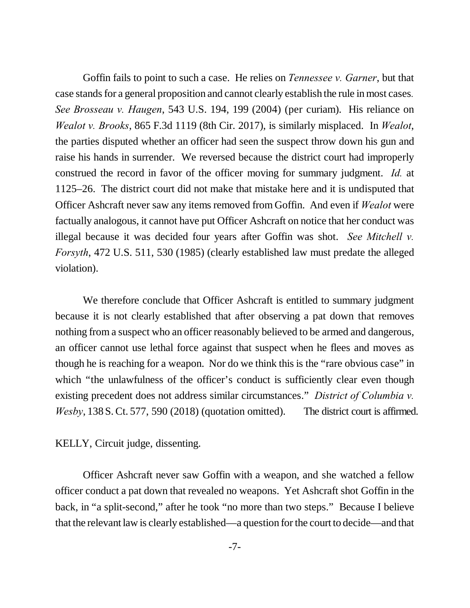Goffin fails to point to such a case. He relies on *Tennessee v. Garner*, but that case stands for a general proposition and cannot clearly establish the rule in most cases*. See Brosseau v. Haugen*, 543 U.S. 194, 199 (2004) (per curiam). His reliance on *Wealot v. Brooks*, 865 F.3d 1119 (8th Cir. 2017), is similarly misplaced. In *Wealot*, the parties disputed whether an officer had seen the suspect throw down his gun and raise his hands in surrender. We reversed because the district court had improperly construed the record in favor of the officer moving for summary judgment. *Id.* at 1125–26. The district court did not make that mistake here and it is undisputed that Officer Ashcraft never saw any items removed from Goffin. And even if *Wealot* were factually analogous, it cannot have put Officer Ashcraft on notice that her conduct was illegal because it was decided four years after Goffin was shot. *See Mitchell v. Forsyth*, 472 U.S. 511, 530 (1985) (clearly established law must predate the alleged violation).

We therefore conclude that Officer Ashcraft is entitled to summary judgment because it is not clearly established that after observing a pat down that removes nothing from a suspect who an officer reasonably believed to be armed and dangerous, an officer cannot use lethal force against that suspect when he flees and moves as though he is reaching for a weapon. Nor do we think this is the "rare obvious case" in which "the unlawfulness of the officer's conduct is sufficiently clear even though existing precedent does not address similar circumstances." *District of Columbia v. Wesby*, 138 S. Ct. 577, 590 (2018) (quotation omitted). The district court is affirmed.

KELLY, Circuit judge, dissenting.

Officer Ashcraft never saw Goffin with a weapon, and she watched a fellow officer conduct a pat down that revealed no weapons. Yet Ashcraft shot Goffin in the back, in "a split-second," after he took "no more than two steps." Because I believe that the relevant law is clearly established—a question for the court to decide—and that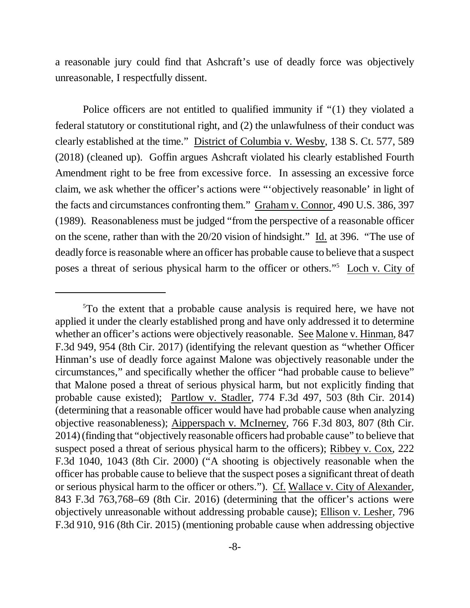a reasonable jury could find that Ashcraft's use of deadly force was objectively unreasonable, I respectfully dissent.

Police officers are not entitled to qualified immunity if "(1) they violated a federal statutory or constitutional right, and (2) the unlawfulness of their conduct was clearly established at the time." District of Columbia v. Wesby, 138 S. Ct. 577, 589 (2018) (cleaned up). Goffin argues Ashcraft violated his clearly established Fourth Amendment right to be free from excessive force. In assessing an excessive force claim, we ask whether the officer's actions were "'objectively reasonable' in light of the facts and circumstances confronting them." Graham v. Connor, 490 U.S. 386, 397 (1989). Reasonableness must be judged "from the perspective of a reasonable officer on the scene, rather than with the 20/20 vision of hindsight." Id. at 396. "The use of deadly force is reasonable where an officer has probable cause to believe that a suspect poses a threat of serious physical harm to the officer or others."<sup>5</sup> Loch v. City of

<sup>5</sup>To the extent that a probable cause analysis is required here, we have not applied it under the clearly established prong and have only addressed it to determine whether an officer's actions were objectively reasonable. See Malone v. Hinman, 847 F.3d 949, 954 (8th Cir. 2017) (identifying the relevant question as "whether Officer Hinman's use of deadly force against Malone was objectively reasonable under the circumstances," and specifically whether the officer "had probable cause to believe" that Malone posed a threat of serious physical harm, but not explicitly finding that probable cause existed); Partlow v. Stadler, 774 F.3d 497, 503 (8th Cir. 2014) (determining that a reasonable officer would have had probable cause when analyzing objective reasonableness); Aipperspach v. McInerney, 766 F.3d 803, 807 (8th Cir. 2014) (finding that "objectively reasonable officers had probable cause" to believe that suspect posed a threat of serious physical harm to the officers); Ribbey v. Cox, 222 F.3d 1040, 1043 (8th Cir. 2000) ("A shooting is objectively reasonable when the officer has probable cause to believe that the suspect poses a significant threat of death or serious physical harm to the officer or others."). Cf. Wallace v. City of Alexander, 843 F.3d 763,768–69 (8th Cir. 2016) (determining that the officer's actions were objectively unreasonable without addressing probable cause); Ellison v. Lesher, 796 F.3d 910, 916 (8th Cir. 2015) (mentioning probable cause when addressing objective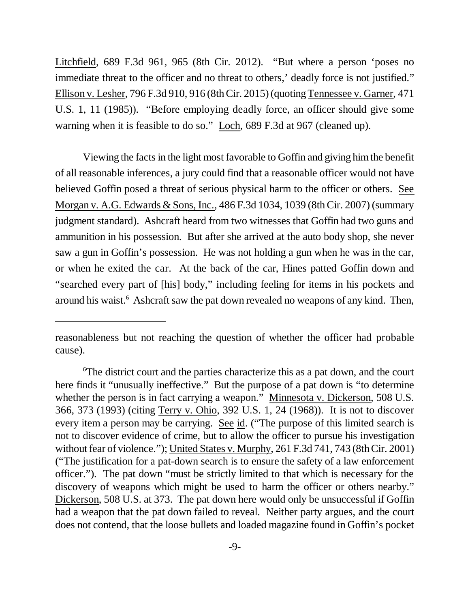Litchfield, 689 F.3d 961, 965 (8th Cir. 2012). "But where a person 'poses no immediate threat to the officer and no threat to others,' deadly force is not justified." Ellison v. Lesher, 796 F.3d 910, 916 (8th Cir. 2015) (quoting Tennessee v. Garner, 471 U.S. 1, 11 (1985)). "Before employing deadly force, an officer should give some warning when it is feasible to do so." Loch, 689 F.3d at 967 (cleaned up).

Viewing the facts in the light most favorable to Goffin and giving him the benefit of all reasonable inferences, a jury could find that a reasonable officer would not have believed Goffin posed a threat of serious physical harm to the officer or others. See Morgan v. A.G. Edwards & Sons, Inc., 486 F.3d 1034, 1039 (8th Cir. 2007) (summary judgment standard). Ashcraft heard from two witnesses that Goffin had two guns and ammunition in his possession. But after she arrived at the auto body shop, she never saw a gun in Goffin's possession. He was not holding a gun when he was in the car, or when he exited the car. At the back of the car, Hines patted Goffin down and "searched every part of [his] body," including feeling for items in his pockets and around his waist.<sup>6</sup> Ashcraft saw the pat down revealed no weapons of any kind. Then,

reasonableness but not reaching the question of whether the officer had probable cause).

<sup>6</sup>The district court and the parties characterize this as a pat down, and the court here finds it "unusually ineffective." But the purpose of a pat down is "to determine" whether the person is in fact carrying a weapon." Minnesota v. Dickerson, 508 U.S. 366, 373 (1993) (citing Terry v. Ohio, 392 U.S. 1, 24 (1968)). It is not to discover every item a person may be carrying. See id. ("The purpose of this limited search is not to discover evidence of crime, but to allow the officer to pursue his investigation without fear of violence."); United States v. Murphy, 261 F.3d 741, 743 (8th Cir. 2001) ("The justification for a pat-down search is to ensure the safety of a law enforcement officer."). The pat down "must be strictly limited to that which is necessary for the discovery of weapons which might be used to harm the officer or others nearby." Dickerson, 508 U.S. at 373. The pat down here would only be unsuccessful if Goffin had a weapon that the pat down failed to reveal. Neither party argues, and the court does not contend, that the loose bullets and loaded magazine found in Goffin's pocket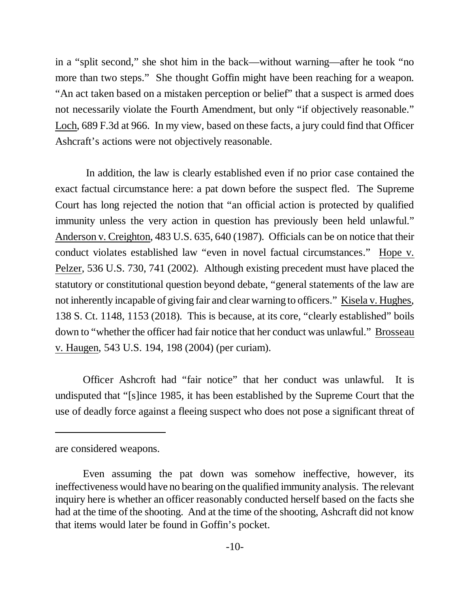in a "split second," she shot him in the back—without warning—after he took "no more than two steps." She thought Goffin might have been reaching for a weapon. "An act taken based on a mistaken perception or belief" that a suspect is armed does not necessarily violate the Fourth Amendment, but only "if objectively reasonable." Loch, 689 F.3d at 966. In my view, based on these facts, a jury could find that Officer Ashcraft's actions were not objectively reasonable.

 In addition, the law is clearly established even if no prior case contained the exact factual circumstance here: a pat down before the suspect fled. The Supreme Court has long rejected the notion that "an official action is protected by qualified immunity unless the very action in question has previously been held unlawful." Anderson v. Creighton, 483 U.S. 635, 640 (1987). Officials can be on notice that their conduct violates established law "even in novel factual circumstances." Hope v. Pelzer, 536 U.S. 730, 741 (2002). Although existing precedent must have placed the statutory or constitutional question beyond debate, "general statements of the law are not inherently incapable of giving fair and clear warning to officers." Kisela v. Hughes, 138 S. Ct. 1148, 1153 (2018). This is because, at its core, "clearly established" boils down to "whether the officer had fair notice that her conduct was unlawful." Brosseau v. Haugen, 543 U.S. 194, 198 (2004) (per curiam).

Officer Ashcroft had "fair notice" that her conduct was unlawful. It is undisputed that "[s]ince 1985, it has been established by the Supreme Court that the use of deadly force against a fleeing suspect who does not pose a significant threat of

are considered weapons.

Even assuming the pat down was somehow ineffective, however, its ineffectiveness would have no bearing on the qualified immunity analysis. The relevant inquiry here is whether an officer reasonably conducted herself based on the facts she had at the time of the shooting. And at the time of the shooting, Ashcraft did not know that items would later be found in Goffin's pocket.